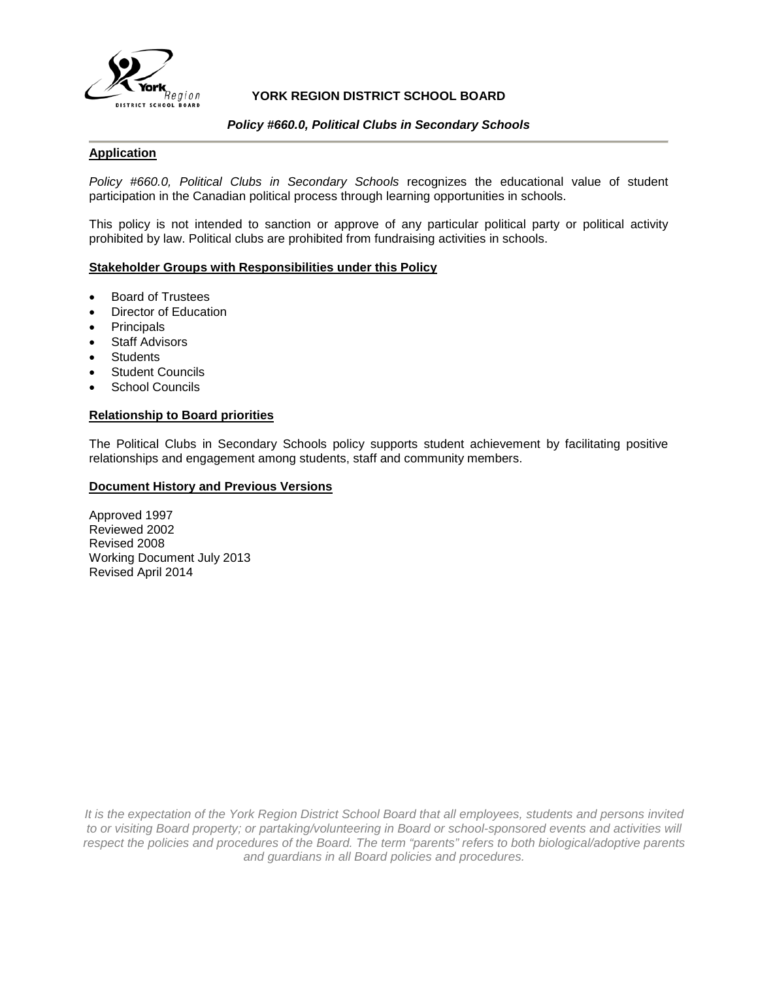

# **YORK REGION DISTRICT SCHOOL BOARD**

## *Policy #660.0, Political Clubs in Secondary Schools*

# **Application**

*Policy #660.0, Political Clubs in Secondary Schools* recognizes the educational value of student participation in the Canadian political process through learning opportunities in schools.

This policy is not intended to sanction or approve of any particular political party or political activity prohibited by law. Political clubs are prohibited from fundraising activities in schools.

#### **Stakeholder Groups with Responsibilities under this Policy**

- Board of Trustees
- Director of Education
- **Principals**
- **Staff Advisors**
- **Students**
- **Student Councils**
- School Councils

## **Relationship to Board priorities**

The Political Clubs in Secondary Schools policy supports student achievement by facilitating positive relationships and engagement among students, staff and community members.

#### **Document History and Previous Versions**

Approved 1997 Reviewed 2002 Revised 2008 Working Document July 2013 Revised April 2014

*It is the expectation of the York Region District School Board that all employees, students and persons invited to or visiting Board property; or partaking/volunteering in Board or school-sponsored events and activities will respect the policies and procedures of the Board. The term "parents" refers to both biological/adoptive parents and guardians in all Board policies and procedures.*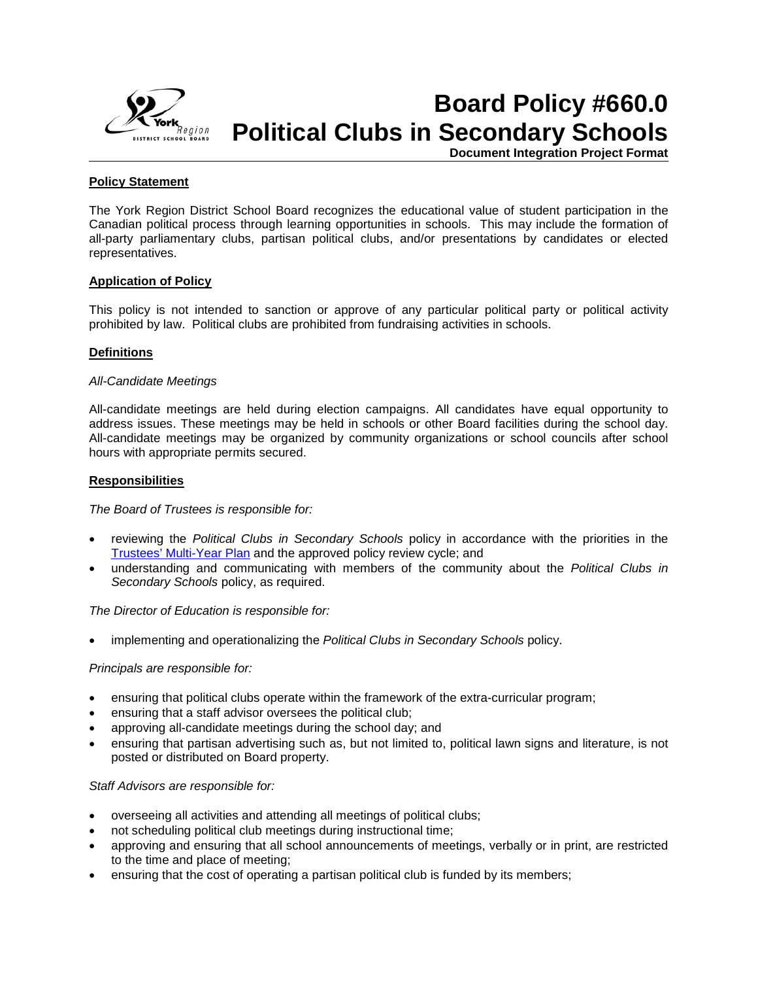

# **Board Policy #660.0 Political Clubs in Secondary Schools**

**Document Integration Project Format**

# **Policy Statement**

The York Region District School Board recognizes the educational value of student participation in the Canadian political process through learning opportunities in schools. This may include the formation of all-party parliamentary clubs, partisan political clubs, and/or presentations by candidates or elected representatives.

## **Application of Policy**

This policy is not intended to sanction or approve of any particular political party or political activity prohibited by law. Political clubs are prohibited from fundraising activities in schools.

# **Definitions**

## *All-Candidate Meetings*

All-candidate meetings are held during election campaigns. All candidates have equal opportunity to address issues. These meetings may be held in schools or other Board facilities during the school day. All-candidate meetings may be organized by community organizations or school councils after school hours with appropriate permits secured.

## **Responsibilities**

*The Board of Trustees is responsible for:* 

- reviewing the *Political Clubs in Secondary Schools* policy in accordance with the priorities in the [Trustees' Multi-Year Plan](http://www.yrdsb.edu.on.ca/page.cfm?id=MYP000001) and the approved policy review cycle; and
- understanding and communicating with members of the community about the *Political Clubs in Secondary Schools* policy, as required.

*The Director of Education is responsible for:*

• implementing and operationalizing the *Political Clubs in Secondary Schools* policy.

## *Principals are responsible for:*

- ensuring that political clubs operate within the framework of the extra-curricular program;
- ensuring that a staff advisor oversees the political club;
- approving all-candidate meetings during the school day; and
- ensuring that partisan advertising such as, but not limited to, political lawn signs and literature, is not posted or distributed on Board property.

*Staff Advisors are responsible for:*

- overseeing all activities and attending all meetings of political clubs;
- not scheduling political club meetings during instructional time;
- approving and ensuring that all school announcements of meetings, verbally or in print, are restricted to the time and place of meeting;
- ensuring that the cost of operating a partisan political club is funded by its members;